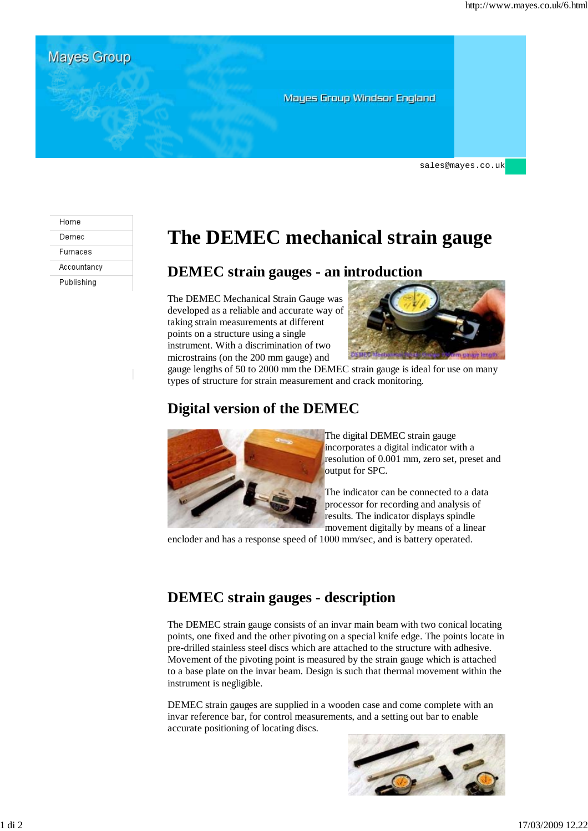**Mayes Group Mayes Group Windsor England** 

sales@mayes.co.uk

#### Home Demec Furnaces

Accountancy

Publishing

# **The DEMEC mechanical strain gauge**

#### **DEMEC strain gauges - an introduction**

The DEMEC Mechanical Strain Gauge was developed as a reliable and accurate way of taking strain measurements at different points on a structure using a single instrument. With a discrimination of two microstrains (on the 200 mm gauge) and



gauge lengths of 50 to 2000 mm the DEMEC strain gauge is ideal for use on many types of structure for strain measurement and crack monitoring.

### **Digital version of the DEMEC**



The digital DEMEC strain gauge incorporates a digital indicator with a resolution of 0.001 mm, zero set, preset and output for SPC.

The indicator can be connected to a data processor for recording and analysis of results. The indicator displays spindle movement digitally by means of a linear

encloder and has a response speed of 1000 mm/sec, and is battery operated.

# **DEMEC strain gauges - description**

The DEMEC strain gauge consists of an invar main beam with two conical locating points, one fixed and the other pivoting on a special knife edge. The points locate in pre-drilled stainless steel discs which are attached to the structure with adhesive. Movement of the pivoting point is measured by the strain gauge which is attached to a base plate on the invar beam. Design is such that thermal movement within the instrument is negligible.

DEMEC strain gauges are supplied in a wooden case and come complete with an invar reference bar, for control measurements, and a setting out bar to enable accurate positioning of locating discs.